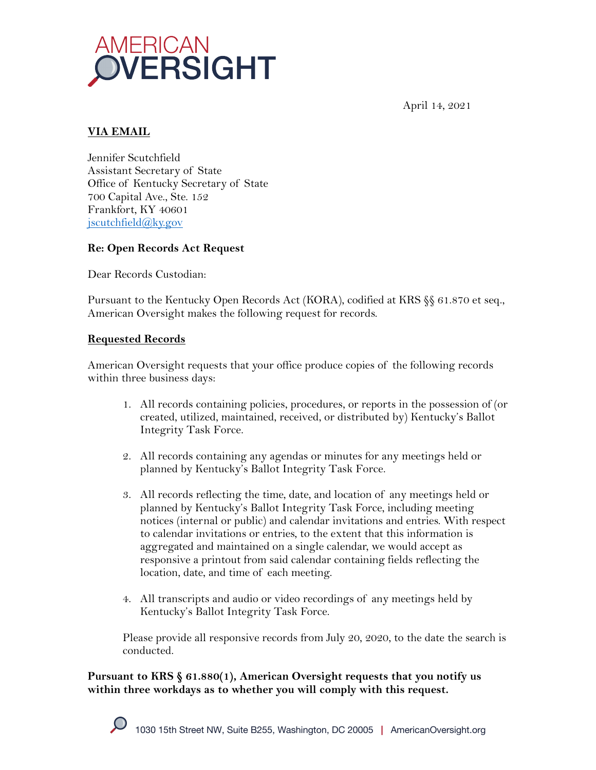

April 14, 2021

# **VIA EMAIL**

Jennifer Scutchfield Assistant Secretary of State Office of Kentucky Secretary of State 700 Capital Ave., Ste. 152 Frankfort, KY 40601 jscutchfield@ky.gov

# **Re: Open Records Act Request**

Dear Records Custodian:

Pursuant to the Kentucky Open Records Act (KORA), codified at KRS §§ 61.870 et seq., American Oversight makes the following request for records.

## **Requested Records**

American Oversight requests that your office produce copies of the following records within three business days:

- 1. All records containing policies, procedures, or reports in the possession of (or created, utilized, maintained, received, or distributed by) Kentucky's Ballot Integrity Task Force.
- 2. All records containing any agendas or minutes for any meetings held or planned by Kentucky's Ballot Integrity Task Force.
- 3. All records reflecting the time, date, and location of any meetings held or planned by Kentucky's Ballot Integrity Task Force, including meeting notices (internal or public) and calendar invitations and entries. With respect to calendar invitations or entries, to the extent that this information is aggregated and maintained on a single calendar, we would accept as responsive a printout from said calendar containing fields reflecting the location, date, and time of each meeting.
- 4. All transcripts and audio or video recordings of any meetings held by Kentucky's Ballot Integrity Task Force.

Please provide all responsive records from July 20, 2020, to the date the search is conducted.

**Pursuant to KRS § 61.880(1), American Oversight requests that you notify us within three workdays as to whether you will comply with this request.**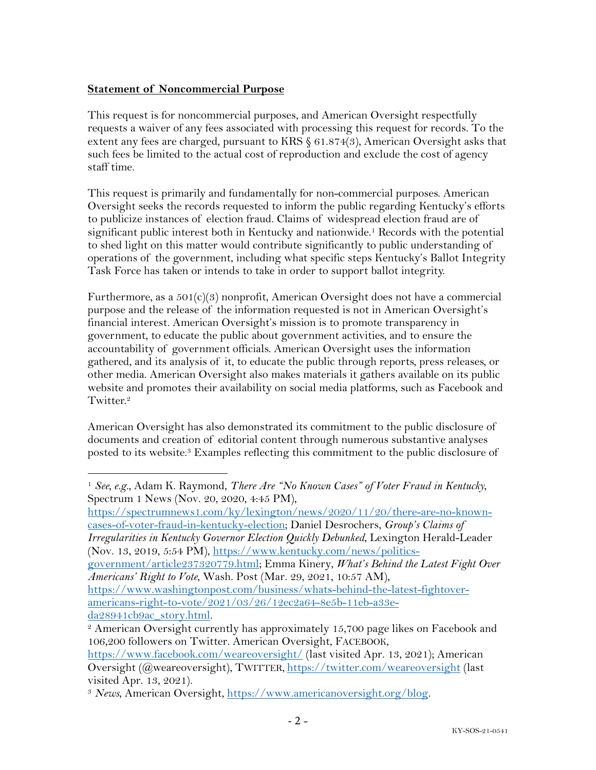# **Statement of Noncommercial Purpose**

This request is for noncommercial purposes, and American Oversight respectfully requests a waiver of any fees associated with processing this request for records. To the extent any fees are charged, pursuant to KRS § 61.874(3), American Oversight asks that such fees be limited to the actual cost of reproduction and exclude the cost of agency staff time.

This request is primarily and fundamentally for non-commercial purposes. American Oversight seeks the records requested to inform the public regarding Kentucky's efforts to publicize instances of election fraud. Claims of widespread election fraud are of significant public interest both in Kentucky and nationwide.<sup>1</sup> Records with the potential to shed light on this matter would contribute significantly to public understanding of operations of the government, including what specific steps Kentucky's Ballot Integrity Task Force has taken or intends to take in order to support ballot integrity.

Furthermore, as a  $501(c)(3)$  nonprofit, American Oversight does not have a commercial purpose and the release of the information requested is not in American Oversight's financial interest. American Oversight's mission is to promote transparency in government, to educate the public about government activities, and to ensure the accountability of government officials. American Oversight uses the information gathered, and its analysis of it, to educate the public through reports, press releases, or other media. American Oversight also makes materials it gathers available on its public website and promotes their availability on social media platforms, such as Facebook and Twitter.<sup>2</sup>

American Oversight has also demonstrated its commitment to the public disclosure of documents and creation of editorial content through numerous substantive analyses posted to its website.<sup>3</sup> Examples reflecting this commitment to the public disclosure of

https://spectrumnews1.com/ky/lexington/news/2020/11/20/there-are-no-knowncases-of-voter-fraud-in-kentucky-election; Daniel Desrochers, *Group's Claims of* 

*Irregularities in Kentucky Governor Election Quickly Debunked*, Lexington Herald-Leader (Nov. 13, 2019, 5:54 PM), https://www.kentucky.com/news/politics-

government/article237320779.html; Emma Kinery, *What's Behind the Latest Fight Over Americans' Right to Vote*, Wash. Post (Mar. 29, 2021, 10:57 AM),

https://www.washingtonpost.com/business/whats-behind-the-latest-fightoveramericans-right-to-vote/2021/03/26/12ec2a64-8e5b-11eb-a33eda28941cb9ac\_story.html.

<sup>1</sup> *See, e.g.*, Adam K. Raymond, *There Are "No Known Cases" of Voter Fraud in Kentucky*, Spectrum 1 News (Nov. 20, 2020, 4:45 PM),

<sup>2</sup> American Oversight currently has approximately 15,700 page likes on Facebook and 106,200 followers on Twitter. American Oversight, FACEBOOK,

https://www.facebook.com/weareoversight/ (last visited Apr. 13, 2021); American Oversight (@weareoversight), TWITTER, https://twitter.com/weareoversight (last visited Apr. 13, 2021).

<sup>3</sup> *News*, American Oversight, https://www.americanoversight.org/blog.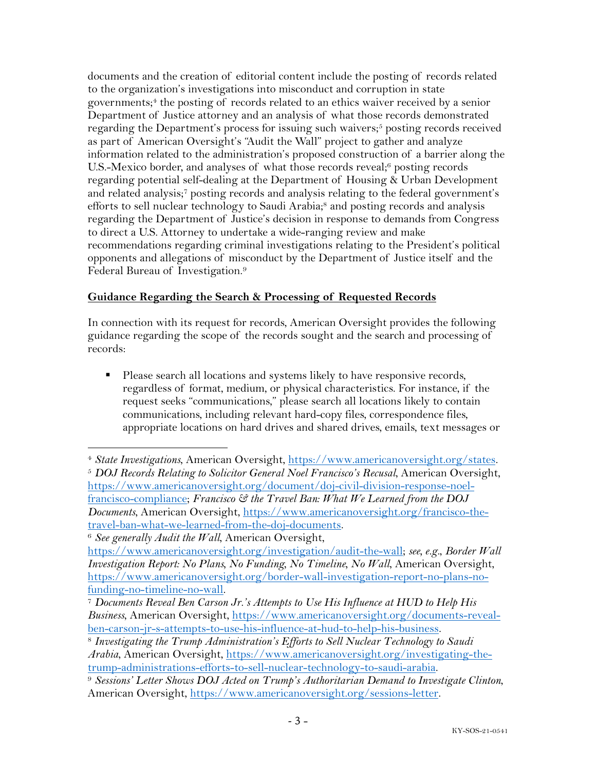documents and the creation of editorial content include the posting of records related to the organization's investigations into misconduct and corruption in state governments; <sup>4</sup> the posting of records related to an ethics waiver received by a senior Department of Justice attorney and an analysis of what those records demonstrated regarding the Department's process for issuing such waivers;<sup>5</sup> posting records received as part of American Oversight's "Audit the Wall" project to gather and analyze information related to the administration's proposed construction of a barrier along the U.S.-Mexico border, and analyses of what those records reveal;<sup>6</sup> posting records regarding potential self-dealing at the Department of Housing & Urban Development and related analysis;7 posting records and analysis relating to the federal government's efforts to sell nuclear technology to Saudi Arabia;<sup>8</sup> and posting records and analysis regarding the Department of Justice's decision in response to demands from Congress to direct a U.S. Attorney to undertake a wide-ranging review and make recommendations regarding criminal investigations relating to the President's political opponents and allegations of misconduct by the Department of Justice itself and the Federal Bureau of Investigation.9

# **Guidance Regarding the Search & Processing of Requested Records**

In connection with its request for records, American Oversight provides the following guidance regarding the scope of the records sought and the search and processing of records:

■ Please search all locations and systems likely to have responsive records, regardless of format, medium, or physical characteristics. For instance, if the request seeks "communications," please search all locations likely to contain communications, including relevant hard-copy files, correspondence files, appropriate locations on hard drives and shared drives, emails, text messages or

<sup>4</sup> *State Investigations*, American Oversight, https://www.americanoversight.org/states. <sup>5</sup> *DOJ Records Relating to Solicitor General Noel Francisco's Recusal*, American Oversight, https://www.americanoversight.org/document/doj-civil-division-response-noelfrancisco-compliance; *Francisco & the Travel Ban: What We Learned from the DOJ Documents*, American Oversight, https://www.americanoversight.org/francisco-thetravel-ban-what-we-learned-from-the-doj-documents.

<sup>6</sup> *See generally Audit the Wall*, American Oversight,

https://www.americanoversight.org/investigation/audit-the-wall; *see, e.g.*, *Border Wall Investigation Report: No Plans, No Funding, No Timeline, No Wall*, American Oversight, https://www.americanoversight.org/border-wall-investigation-report-no-plans-no-

funding-no-timeline-no-wall. 7 *Documents Reveal Ben Carson Jr.'s Attempts to Use His Influence at HUD to Help His Business*, American Oversight, https://www.americanoversight.org/documents-revealben-carson-jr-s-attempts-to-use-his-influence-at-hud-to-help-his-business. 8 *Investigating the Trump Administration's Efforts to Sell Nuclear Technology to Saudi* 

*Arabia*, American Oversight, https://www.americanoversight.org/investigating-thetrump-administrations-efforts-to-sell-nuclear-technology-to-saudi-arabia. 9 *Sessions' Letter Shows DOJ Acted on Trump's Authoritarian Demand to Investigate Clinton*,

American Oversight, https://www.americanoversight.org/sessions-letter.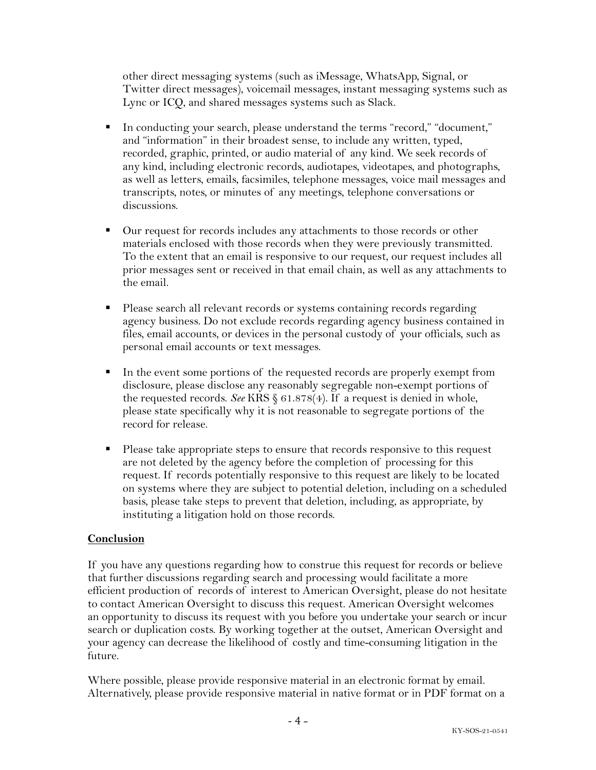other direct messaging systems (such as iMessage, WhatsApp, Signal, or Twitter direct messages), voicemail messages, instant messaging systems such as Lync or ICQ, and shared messages systems such as Slack.

- § In conducting your search, please understand the terms "record," "document," and "information" in their broadest sense, to include any written, typed, recorded, graphic, printed, or audio material of any kind. We seek records of any kind, including electronic records, audiotapes, videotapes, and photographs, as well as letters, emails, facsimiles, telephone messages, voice mail messages and transcripts, notes, or minutes of any meetings, telephone conversations or discussions.
- Our request for records includes any attachments to those records or other materials enclosed with those records when they were previously transmitted. To the extent that an email is responsive to our request, our request includes all prior messages sent or received in that email chain, as well as any attachments to the email.
- Please search all relevant records or systems containing records regarding agency business. Do not exclude records regarding agency business contained in files, email accounts, or devices in the personal custody of your officials, such as personal email accounts or text messages.
- In the event some portions of the requested records are properly exempt from disclosure, please disclose any reasonably segregable non-exempt portions of the requested records. *See* KRS § 61.878(4). If a request is denied in whole, please state specifically why it is not reasonable to segregate portions of the record for release.
- Please take appropriate steps to ensure that records responsive to this request are not deleted by the agency before the completion of processing for this request. If records potentially responsive to this request are likely to be located on systems where they are subject to potential deletion, including on a scheduled basis, please take steps to prevent that deletion, including, as appropriate, by instituting a litigation hold on those records.

# **Conclusion**

If you have any questions regarding how to construe this request for records or believe that further discussions regarding search and processing would facilitate a more efficient production of records of interest to American Oversight, please do not hesitate to contact American Oversight to discuss this request. American Oversight welcomes an opportunity to discuss its request with you before you undertake your search or incur search or duplication costs. By working together at the outset, American Oversight and your agency can decrease the likelihood of costly and time-consuming litigation in the future.

Where possible, please provide responsive material in an electronic format by email. Alternatively, please provide responsive material in native format or in PDF format on a